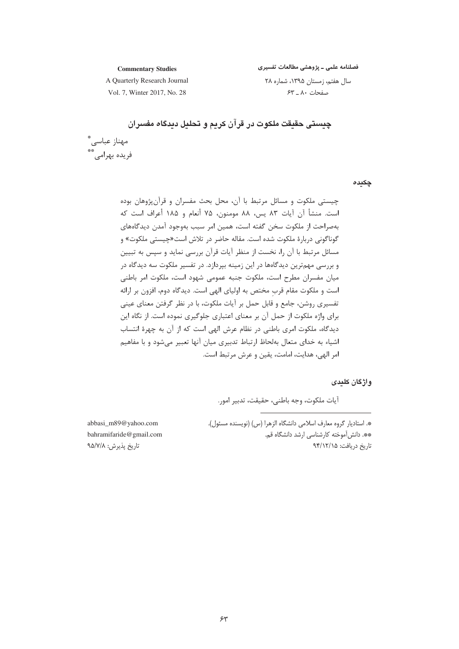فصلنامه علمی ـ پژوهشی مطالعات تفسیری

**Commentary Studies** A Quarterly Research Journal

سال هفتم، زمستان ۱۳۹۵، شماره ۲۸ صفحات ٨٠ ـ ۶۳

Vol. 7, Winter 2017, No. 28

چیستی حقیقت ملکوت در قرآن کریم و تحلیل دیدگاه مفسران مهناز عباسي ٌّ<br>\*\* فریدہ بھرامے ، ٌ

چکىدە

چیستے ملکوت و مسائل مرتبط یا آن، محل بحث مفسران و قرآن یژوهان بوده است. منشأ آن آيات ٨٣ پس، ٨٨ مومنون، ٧۵ أنعام و ١٨۵ أعراف است كه بهصراحت از ملكوت سخن گفته است، همين امر سبب بهوجود آمدن ديدگاههاي گوناگونی دربارهٔ ملکوت شده است. مقاله حاضر در تلاش است«چیستی ملکوت» و مسائل مرتبط با آن را، نخست از منظر آيات قرآن بررسي نمايد و سپس به تبيين و بررسی مهمترین دیدگاهها در این زمینه بپردازد. در تفسیر ملکوت سه دیدگاه در میان مفسران مطرح است، ملکوت جنبه عمومی شهود است، ملکوت امر باطنی است و ملکوت مقام قرب مختص به اولیای الهی است. دیدگاه دوم، افزون بر ارائه تفسیری روشن، جامع و قابل حمل بر آیات ملکوت، با در نظر گرفتن معنای عینی برای واژه ملکوت از حمل آن بر معنای اعتباری جلوگیری نموده است. از نگاه این دیدگاه، ملکوت امری باطنی در نظام عرش الهی است که از آن به چهرهٔ انتساب اشیاء به خدای متعال بهلحاظ ارتباط تدبیری میان آنها تعبیر می شود و با مفاهیم امر الهي، هدايت، امامت، يقين و عرش مرتبط است.

### واژگان کلیدی

آيات ملكوت، وجه باطني، حقيقت، تدبير امور.

\*. استادیار گروه معارف اسلامی دانشگاه الزهرا (س) (نویسنده مسئول). \*\*. دانش آموخته کارشناسی ارشد دانشگاه قم. تاریخ دریافت: ۹۴/۱۲/۱۵

abbasi\_m89@yahoo.com bahramifaride@gmail.com تاريخ پذيرش: ٩۵/٧/٨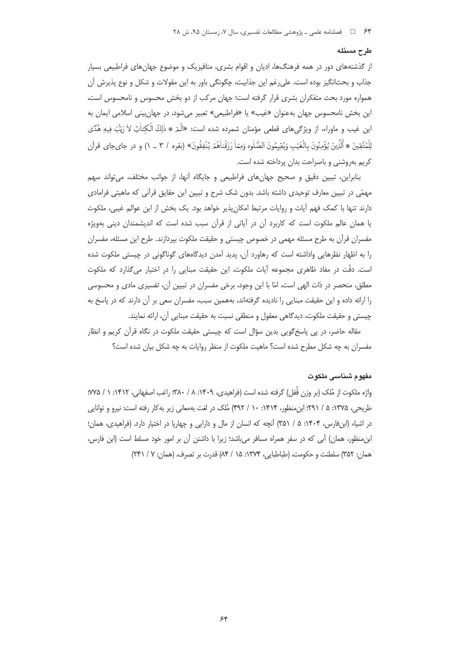### طرح مسئله

از گذشتههای دور در همه فرهنگها، ادیان و اقوام بشری، متافیزیک و موضوع جهانهای فراطبیعی بسیار جذاب و بحثانگیز بوده است، علی رغم این جذابیت، چگونگی باور به این مقولات و شکل و نوع پذیرش آن همواره مورد بحث متفكران بشرى قرار گرفته است؛ جهان مركب از دو بخش محسوس و نامحسوس است، این بخش نامحسوس جهان به عنوان «غیب» یا «فراطبیعی» تعبیر میشود، در جهانبینی اسلامی ایمان به این غیب و ماوراء، از ویژگیهای قطعی مؤمنان شمرده شده است: «الَّـمِّ ۞ ذٰلِكَ الْكتاٰبُ لاٰ رَیْبَ فِیهِ هُدًى لِلْمُتَّقِينَ \* أَلَدِّينَ يُؤْمِنُونَ بِالْغَيْبِ وَيُقِيمُونَ الصَّلْوه وَمِعّاْ رَزَقْناهُمْ يُنْفِقُونَ» (بقره / ٣ \_ ١) و در جاي جاي قرأن كريم بهروشني وباصراحت بدان پرداخته شده است.

بنابراین، تبیین دقیق و صحیح جهانهای فراطبیعی و جایگاه آنها، از جوانب مختلف، می تواند سهم مهمّی در تبیین معارف توحیدی داشته باشد. بدون شک شرح و تبیین این حقایق قرآنی که ماهیتی فرامادی دارند تنها با کمک فهم آیات و روایات مرتبط امکان پذیر خواهد بود. یک بخش از این عوالم غیبی، ملکوت یا همان عالم ملکوت است که کاربرد آن در آیاتی از قرآن سبب شده است که اندیشمندان دینی بهویژه مفسران قرآن به طرح مسئله مهمی در خصوص چیستی و حقیقت ملکوت بپردازند. طرح این مسئله، مفسران را به اظهار نظرهایی واداشته است که رهاورد آن، پدید آمدن دیدگاههای گوناگونی در چیستی ملکوت شده است. دقّت در مفاد ظاهری مجموعه آیات ملکوت، این حقیقت مبنایی را در اختیار میگذارد که ملکوت مطلق، منحصر در ذات الهي است، امّا با اين وجود، برخي مفسران در تبيين آن، تفسيري مادي و محسوسي را ارائه داده و این حقیقت مبنایی را نادیده گرفتهاند، بههمین سبب، مفسران سعی بر آن دارند که در پاسخ به چیستی و حقیقت ملکوت، دیدگاهی معقول و منطقی نسبت به حقیقت مبنایی آن، ارائه نمایند.

مقاله حاضر، در پی پاسخگویی بدین سؤال است که چیستی حقیقت ملکوت در نگاه قرآن کریم و انظار مفسران به چه شکل مطرح شده است؟ ماهیت ملکوت از منظر روایات به چه شکل بیان شده است؟

#### مفهو م شيناسي ملكو ت

واژه ملکوت از مُلک (بر وزن قُفل) گرفته شده است (فراهیدی، ۱۴۰۹: ۸ / ۳۸۰؛ راغب اصفهانی، ۱۴۱۲: ۱ / ۷۷۵؛ طریحی، ۱۳۷۵: ۵ / ۲۹۱؛ ابن منظور، ۱۴۱۴: ۱۰ / ۴۹۲) مُلک در لغت بهمعانی زیر به کار رفته است: نیرو و توانایی در اشیاء (ابنفارس، ۱۴۰۴: ۵ / ۳۵۱) آنچه که انسان از مال و دارایی و چهارپا در اختیار دارد. (فراهیدی، همان؛ ابن منظور، همان) آبی که در سفر همراه مسافر می باشد؛ زیرا با داشتن آن بر امور خود مسلط است (ابن فارس، همان: ٣۵٢) سلطنت و حكومت، (طباطبايي، ١٣٧۴: ١۵ / ٨۴) قدرت بر تصرف. (همان: ٧ / ٢۴١)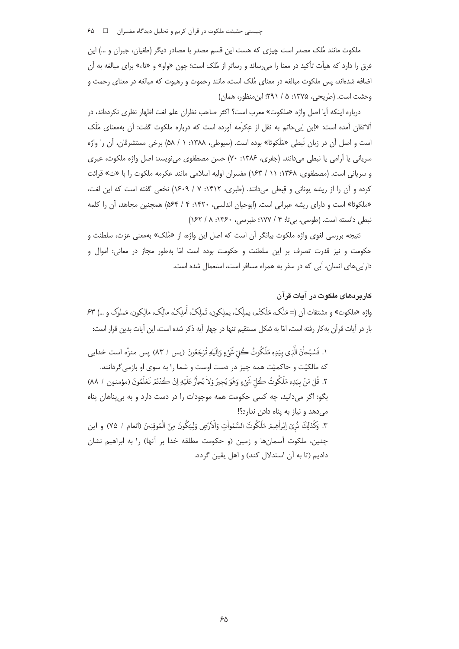چیستی حقیقت ملکوت در قرآن کریم و تحلیل دیدگاه مفسران ۶۵ ۶۵

ملکوت مانند مُلک مصدر است چیزی که هست این قسم مصدر با مصادر دیگر (طغیان، جبران و …) این فرق را دارد که هیأت تأکید در معنا را می رساند و رساتر از مُلک است؛ چون «واو» و «تاء» برای مبالغه به آن اضافه شدهاند، پس ملکوت مبالغه در معنای مُلک است، مانند رحموت و رهبوت که مبالغه در معنای رحمت و وحشت است. (طريحي، ١٣٧۵: ۵ / ٢٩١؛ ابن منظور، همان)

درباره اينكه آيا اصل واژه «ملكوت» معرب است؟ اكثر صاحب نظران علم لغت اظهار نظري نكردهاند، در ألاتقان آمده است: «إبن إبي<اتم به نقل از عِكرِمه آورده است كه درباره ملكوت گفت: آن بهمعناي مَلَك است و اصل آن در زبان نَبطي «مَلَكوتا» بوده است. (سیوطی، ۱۳۸۸: ۱ / ۵۸) برخی مستشرقان، آن را واژه سرياني يا آرامي يا نبطي مي دانند. (جفري، ۱۳۸۶: ۷۰) حسن مصطفوي مي نويسد: اصل واژه ملكوت، عبري و سریانی است. (مصطفوی، ۱۳۶۸: ۱۱ / ۱۶۳) مفسران اولیه اسلامی مانند عکرمه ملکوت را با «ث» قرائت كرده و آن را از ريشه يوناني و قِبطي مي دانند. (طبري، ١۴١٢: ٧ / ١۶٠٩) نخعي گفته است كه اين لغت، «ملكوثا» است و داراي ريشه عبراني است. (ابوحيان اندلسي، ١۴٢٠: ۴ / ٥۶۴) همچنين مجاهد، آن را كلمه نبطی دانسته است. (طوسی، بی تا: ۴ / ۱۷۷؛ طبرسی، ۱۳۶۰: ۸ / ۱۶۲)

نتیجه بررسی لغوی واژه ملکوت بیانگر آن است که اصل این واژه، از «مُلک» بهمعنی عزت، سلطنت و حکومت و نیز قدرت تصرف بر این سلطنت و حکومت بوده است امّا بهطور مجاز در معانی: اموال و دارایی های انسان، آبی که در سفر به همراه مسافر است، استعمال شده است.

# کاربردهای ملکوت در آیات قرآن

واژه «ملكوت» و مشتقات آن (= مَلك، مَلَكتُم، يملِكُ، يملِكون، تَملِكُ، أَملِكُ، مالِك، مالِكون، مَملوك و …) ۶۳ بار در آیات قرآن به کار رفته است، امّا به شکل مستقیم تنها در چهار آیه ذکر شده است، این آیات بدین قرار است:

١. فَسُبْحاٰنَ الَّذِي بِيَدِهِ مَلَكُوتُ كُلِّ شَيْءٍ وَالَيْهِ تُرْجَعُونَ (يس / ٨٣) يس منزَّه است خدايي که مالکیّت و حاکمیّت همه چیز در دست اوست و شما را به سوی او بازمی۴گردانند. ٢. قُلْ مَنْ بِيَدِمِ مَلَكُوتُ كُلّ شَيْءٍ وَهُوَ يُجِيرُ وَلاْ يُجاْزُ عَلَيْهِ إِنْ كُنْتُمْ تَعْلَمُونَ (مؤمنون / ٨٨) بگو: اگر می دانید، چه کسی حکومت همه موجودات را در دست دارد و به بی پناهان پناه می دهد و نیاز به یناه دادن ندارد؟! ٣. وَكَذَٰلِكَ ذُيِّ إِبْرَاٰهِيمَ مَلَكُوتَ السَّمْواٰتِ وَالْأَرْضِ وَلِيَكُونَ مِنَ الْمُوقِنِينَ (انعام / ٧۵) و اين چنین، ملکوت آسمانها و زمین (و حکومت مطلقه خدا بر آنها) را به ابراهیم نشان داديم (تا به آن استدلال كند) و اهل يقين گردد.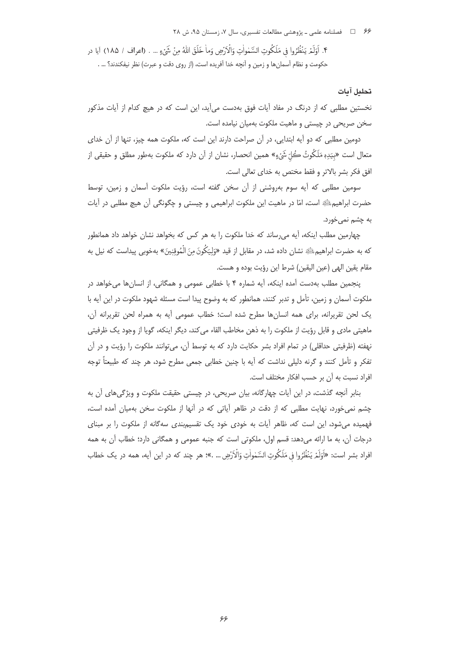۶۶ = 1 فصلنامه علمی ـ پژوهشی مطالعات تفسیری، سال ۷، زمستان ۹۵، ش ۲۸

۴. أَوَلَمْ يَنْظُرُوا فِي مَلَكُوتِ السَّمٰواٰتِ وَالْأَرْضِ وَما خَلَقَ اللَّهُ مِنْ شَيْءٍ … . (اعراف / ١٨۵) آيا در حكومت و نظام آسمانها و زمين و آنچه خدا آفريده است، (از روى دقت و عبرت) نظر نيفكندند؟ … .

## تحلىل آيات

نخستین مطلبی که از درنگ در مفاد آیات فوق بهدست میآید، این است که در هیچ کدام از آیات مذکور سخن صریحی در چیستی و ماهیت ملکوت بهمیان نیامده است.

دومین مطلبی که دو آیه ابتدایی، در آن صراحت دارند این است که، ملکوت همه چیز، تنها از آن خدای متعال است «بِيَدِهٖ مَلَكُوتُ كُلّ شَيْءٍ» همين انحصار، نشان از آن دارد كه ملكوت بهطور مطلق و حقيقى از افق فكر بشر بالاتر و فقط مختص به خداى تعالى است.

سومین مطلبی که آیه سوم بهروشنی از آن سخن گفته است، رؤیت ملکوت آسمان و زمین، توسط حضرت ابراهیمﷺ است، امّا در ماهیت این ملکوت ابراهیمی و چیستی و چگونگی آن هیچ مطلبی در آیات به چشم نمی خورد.

چهارمین مطلب اینکه، آیه می رساند که خدا ملکوت را به هر کس که بخواهد نشان خواهد داد همانطور که به حضرت ابراهیمﷺ نشان داده شد، در مقابل از قید «وَلِیَکُونَ منَ الْمُوقِنِینَ» بهخوبی پیداست که نیل به مقام يقين الهي (عين اليقين) شرط اين رؤيت بوده و هست.

ينجمين مطلب بهدست آمده اينكه، آيه شماره ۴ با خطابي عمومي و همگاني، از انسانها ميخواهد در ملکوت آسمان و زمین، تأمل و تدبر کنند، همانطور که به وضوح پیدا است مسئله شهود ملکوت در این آیه با یک لحن تقریرانه، برای همه انسانها مطرح شده است؛ خطاب عمومی آیه به همراه لحن تقریرانه آن، ماهیتی مادی و قابل رؤیت از ملکوت را به ذهن مخاطب القاء می کند، دیگر اینکه، گویا از وجود یک ظرفیتی نهفته (ظرفيتي حداقلي) در تمام افراد بشر حكايت دارد كه به توسط آن، مي¤وانند ملكوت را رؤيت و در آن تفکر و تأمل کنند و گرنه دلیلی نداشت که آیه با چنین خطابی جمعی مطرح شود، هر چند که طبیعتاً توجه افراد نسبت به آن بر حسب افکار مختلف است.

بنابر آنچه گذشت، در این آیات چهارگانه، بیان صریحی، در چیستی حقیقت ملکوت و ویژگی های آن به چشم نمی خورد، نهایت مطلبی که از دقت در ظاهر آیاتی که در آنها از ملکوت سخن بهمیان آمده است، فهمیده میشود، این است که، ظاهر آیات به خودی خود یک تقسیم؛ندی سهگانه از ملکوت را بر مبنای درجات آن، به ما ارائه میدهد: قسم اول، ملكوتی است كه جنبه عمومی و همگانی دارد؛ خطاب آن به همه افراد بشر است: «اَوَلَمْ يَنْظُرُوا في مَلَكُوتِ السَّمْواٰتِ وَالْاَرْضِ … .»؛ هر چند كه در اين آيه، همه در يك خطاب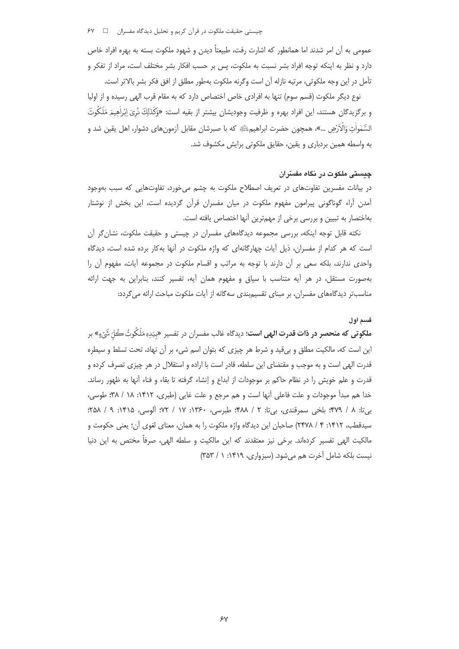چیستی حقیقت ملکوت در قرآن کریم و تحلیل دیدگاه مفسران د MY 7

عمومي به آن امر شدند اما همانطور كه اشارت رفت، طبيعتاً ديدن و شهود ملكوت بسته به بهره افراد خاص دارد و نظر به اینکه توجه افراد بشر نسبت به ملکوت، پس بر حسب افکار بشر مختلف است، مراد از تفکر و تأمل در این وجه ملکوتی، مرتبه نازله آن است وگرنه ملکوت بهطور مطلق از افق فکر بشر بالاتر است.

نوع دیگر ملکوت (قسم سوم) تنها به افرادی خاص اختصاص دارد که به مقام قرب الهی رسیده و از اولیا و برگزیدگان هستند، این افراد بهره و ظرفیت وجودیشان بیشتر از بقیه است: «وَكَذَلِكَ ذُرِيَ اِبْراٰهِيمَ مَلَكُوتَ السَّمٰواٰتِ وَالۡاَرۡضِ …»، همچون حضرت ابراهیمﷺ که با صبرشان مقابل آزمونِهای دشوار، اهل یقین شد و به واسطه همین بردباری و یقین، حقایق ملکوتی برایش مکشوف شد.

# چیستی ملکوت در نگاه مفسّران

در بیانات مفسرین تفاوتهای در تعریف اصطلاح ملکوت به چشم می خورد، تفاوتهایی که سبب بهوجود آمدن آراء گوناگونی پیرامون مفهوم ملکوت در میان مفسران قرآن گردیده است، این بخش از نوشتار بهاختصار به تبیین و بررسی برخی از مهمترین آنها اختصاص یافته است.

نکته قابل توجه اینکه، بررسی مجموعه دیدگاههای مفسران در چیستی و حقیقت ملکوت، نشان گر آن است که هر کدام از مفسران، ذیل آیات چهارگانهای که واژه ملکوت در آنها بهکار برده شده است، دیدگاه واحدی ندارند، بلکه سعی بر آن دارند با توجه به مراتب و اقسام ملکوت در مجموعه آیات، مفهوم آن را بهصورت مستقل، در هر آیه متناسب با سیاق و مفهوم همان آیه، تفسیر کنند، بنابراین به جهت ارائه مناسبتر دیدگاههای مفسران، بر مبنای تقسیمبندی سهگانه از آیات ملکوت مباحث ارائه می گردد:

### قسم اول

**ملکوتی که منحصر در ذات قدرت الهی است**؛ دیدگاه غالب مفسران در تفسیر «بیَدِهٖ مَلَکُوتُ كُلّ شَيْءٍ» بر این است که، مالکیت مطلق و بی قید و شرط هر چیزی که بتوان اسم شیء بر آن نهاد، تحت تسلط و سیطره قدرت الهی است و به موجب و مقتضای این سلطه، قادر است با اراده و استقلال در هر چیزی تصرف کرده و قدرت و علم خویش را در نظام حاکم بر موجودات از ابداع و إنشاء گرفته تا بقاء و فناء آنها به ظهور رساند. خدا هم مبدأ موجودات و علت فاعلی آنها است و هم مرجع و علت غایی (طبری، ۱۴۱۲: ۱۸ / ۳۸؛ طوسی، بي تا: ٨ / ٣٧٩؛ بلخي سمرقندي، بي تا: ٢ / ٣٨٨؛ طبرسي، ١٣۶٠: ١٧ / ٧٢؛ ألوسي، ١٣١۵: ٩ / ٢۵٨. سیدقطب، ۱۴۱۲: ۴ / ۲۴۷۸) صاحبان این دیدگاه واژه ملکوت را به همان، معنای لغوی آن؛ یعنی حکومت و مالکیت الھی تفسیر کردہاند. برخی نیز معتقدند که این مالکیت و سلطه الھی، صرفاً مختص به این دنیا نیست بلکه شامل آخرت هم می شود. (سبزواری، ۱۴۱۹: ۱/ ۳۵۳)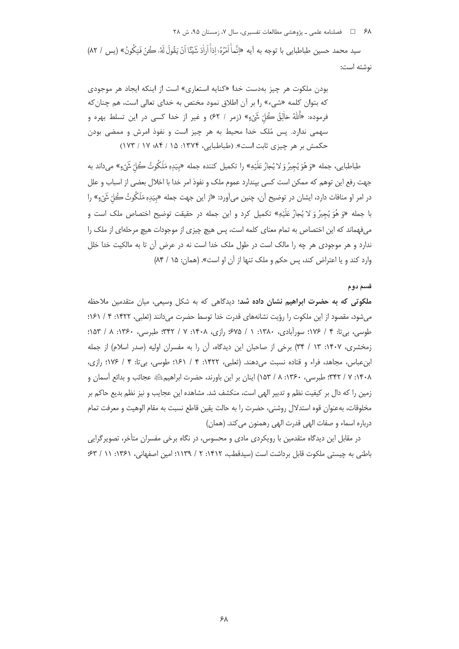سيد محمد حسين طباطبايي با توجه به آيه «إِنَّماْۤ اَمْرُهُرَاذآْ اَرادَ شَيْئًا اَنْ يَقُولَ لَهُۥ ڪُنْ فَيَكُونُ» (يس / ٨٢) نوشته است:

بودن ملكوت هر چيز بهدست خدا «كنايه استعاري» است از اينكه ايجاد هر موجودي که بتوان کلمه «شيء» ,ا بر آن اطلاق نمود مختص به خداي تعالى است، هم چنان *ک*ه فرموده: «أَللَّهُ خاٰلِقُ كُلّ شَيْءٍ» (زمر / ۶۲) و غير از خدا كسى در اين تسلط بهره و سهمی ندارد. پس مُلک خدا محیط به هر چیز است و نفوذ امرش و ممضی بودن حکمش بر هر چیزی ثابت است». (طباطبایی، ۱۳۷۴: ۱۵ / ۸۴، ۱۷ / ۱۷۳)

طباطبايي، جمله «وَ هُوَ يُجِيرُ وَ لا يُجارُ عَلَيْهِ» ,ا تكميل كننده جمله «بِيَدهٖ مَلَكُوتُ ڪُلّ شَيْءٍ» مي داند به جهت رفع این توهم که ممکن است کسی بیندارد عموم ملک و نفوذ امر خدا با اخلال بعضی از اسباب و علل در امر او منافات دارد، ایشان در توضیح آن، چنین میآورد: «از این جهت جمله «بیَدِهٖ مَلَکُوتُ كُلّ شَيْءٍ» را با جمله «وَ هُوَ يُجِيرُ وَ لا يُجارُ عَلَيْهِ» تكميل كرد و اين جمله در حقيقت توضيح اختصاص ملك است و م فهماند که این اختصاص به تمام معنای کلمه است، پس هیچ چیزی از موجودات هیچ مرحلهای از ملک را ندارد و هر موجودی هر چه را مالک است در طول ملک خدا است نه در عرض آن تا به مالکیت خدا خلل وارد كند و يا اعتراض كند، پس حكم و ملك تنها از آن او است». (همان: ١٥ / ٨۴)

#### قسم دوم

م**لکوتی که به حضرت ابراهیم نشان داده شد**؛ دیدگاهی که به شکل وسیعی، میان متقدمین ملاحظه می شود، مقصود از این ملکوت را رؤیت نشانههای قدرت خدا توسط حضرت می دانند (تعلبی، ۱۴۲۲: ۴ / ۱۶۱: طوسی، بیتا: ۴ / ۱۷۶؛ سورآبادی، ۱۳۸۰: ۱ / ۶۷۵؛ رازی، ۱۴۰۸: ۷ / ۳۴۲؛ طبرسی، ۱۳۶۰: ۸ / ۵۳؛ زمخشری، ۱۴۰۷: ۱۳ / ۳۴) برخی از صاحبان این دیدگاه، آن را به مفسران اولیه (صدر اسلام) از جمله ابن عباس، مجاهد، فراء و قتاده نسبت می دهند. (تعلبی، ۱۴۲۲: ۴ / ۱۶۱؛ طوسی، بی تا: ۴ / ۱۷۶؛ رازی، ۰۱۴۰۸): ۷ / ۳۴۲؛ طبرسی، ۱۳۶۰: ۸ / ۱۵۳) اینان بر این باورند، حضرت ابراهیم اگر عجائب و بدائع آسمان و زمین را که دال بر کیفیت نظم و تدبیر الهی است، منکشف شد. مشاهده این عجایب و نیز نظم بدیع حاکم بر مخلوقات، بهعنوان قوه استدلال روشني، حضرت را به حالت يقين قاطع نسبت به مقام الوهيت و معرفت تمام درباره اسماء و صفات الهي قدرت الهي رهمنون مي كند. (همان)

در مقابل این دیدگاه متقدمین با رویکردی مادی و محسوس، در نگاه برخی مفسران متأخر، تصویرگرایی باطني به چيستي ملكوت قابل برداشت است (سيدقطب، ١۴١٢: ٢ / ١١٣٩؛ امين اصفهاني، ١٣۶١: ١١ / ۶۳: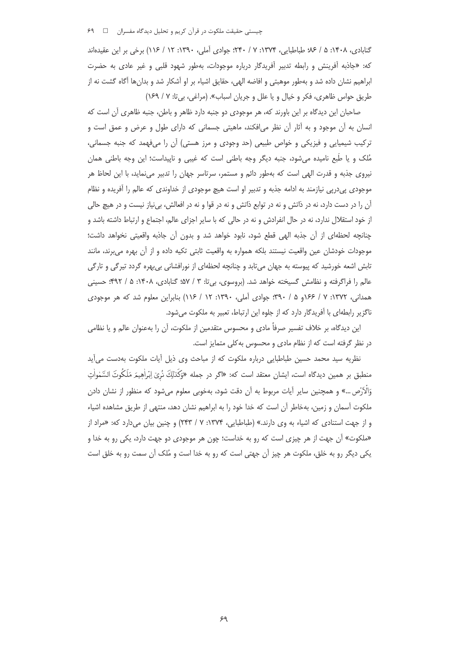چیستی حقیقت ملکوت در قرآن کریم و تحلیل دیدگاه مفسران د سال ۶۹

گنابادی، ۱۴۰۸: ۵ / ۱۶% طباطبایی، ۱۳۷۴: ۷ / ۲۴۰؛ جوادی آملی، ۱۳۹۰: ۱۲ / ۱۱۶) برخی بر این عقیدهاند که: «جاذبه آفرینش و رابطه تدبیر آفریدگار درباره موجودات، بهطور شهود قلبی و غیر عادی به حضرت ابراهیم نشان داده شد و بهطور موهبتی و افاضه الهی، حقایق اشیاء بر او آشکار شد و بدانها آگاه گشت نه از طريق حواس ظاهري، فكر و خيال و يا علل و جريان اسباب». (مراغي، بي تا: ٧ / ١۶٩)

صاحبان این دیدگاه بر این باورند که، هر موجودی دو جنبه دارد ظاهر و باطن، جنبه ظاهری آن است که انسان به أن موجود و به أثار أن نظر می|فکند، ماهیتی جسمانی که دارای طول و عرض و عمق است و ترکیب شیمیایی و فیزیکی و خواص طبیعی (حد وجودی و مرز هستی) آن را میفهمد که جنبه جسمانی، مُلک و یا طَبع نامیده میشود، جنبه دیگر وجه باطنی است که غیبی و ناپیداست؛ این وجه باطنی همان نیروی جذبه و قدرت الهی است که بهطور دائم و مستمر، سرتاسر جهان را تدبیر می نماید، با این لحاظ هر موجودی پی درپی نیازمند به ادامه جذبه و تدبیر او است هیچ موجودی از خداوندی که عالم را آفریده و نظام آن را در دست دارد، نه در ذاتش و نه در توابع ذاتش و نه در قوا و نه در افعالش، بی نیاز نیست و در هیچ حالی از خود استقلال ندارد، نه در حال انفرادش و نه در حالی که با سایر اجزای عالم، اجتماع و ارتباط داشته باشد و چنانچه لحظهای از آن جذبه الهی قطع شود، نابود خواهد شد و بدون آن جاذبه واقعیتی نخواهد داشت؛ موجودات خودشان عین واقعیت نیستند بلکه همواره به واقعیت ثابتی تکیه داده و از آن بهره میبرند، مانند تابش اشعه خورشید که پیوسته به جهان می¤ابد و چنانچه لحظهای از نورافشانی بیبهره گردد تیرگی و تارگی عالم را فراگرفته و نظامش گسیخته خواهد شد. (بروسوی، بی تا: ۳ / ۵۷؛ گنابادی، ۱۴۰۸: ۵ / ۴۹۲؛ حسینی همدانی، ۱۳۷۲: ۷ / ۱۶۶و ۵ / ۳۹۰؛ جوادی آملی، ۱۳۹۰: ۱۲ / ۱۱۶) بنابراین معلوم شد که هر موجودی ناگزیر رابطهای با آفریدگار دارد که از جلوه این ارتباط، تعبیر به ملکوت می شود.

این دیدگاه، بر خلاف تفسیر صرفاً مادی و محسوس متقدمین از ملکوت، آن را بهعنوان عالم و یا نظامی در نظر گرفته است که از نظام مادی و محسوس به کلی متمایز است.

نظریه سید محمد حسین طباطبایی درباره ملکوت که از مباحث وی ذیل آیات ملکوت بهدست می آید منطبق بر همین دیدگاه است، ایشان معتقد است که: «اگر در جمله «وَکَذلِكَ ذُرِيَ اِبْراْهِيمَ مَلَکُوتَ السَّمْواٰتِ وَالْأَرْص …» و همچنین سایر آیات مربوط به آن دقت شود، بهخوبی معلوم میشود که منظور از نشان دادن ملکوت آسمان و زمین، بهخاطر آن است که خدا خود را به ابراهیم نشان دهد، منتهی از طریق مشاهده اشیاء و از جهت استنادی که اشیاء به وی دارند.» (طباطبایی، ۱۳۷۴: ۷ / ۲۴۳) و چنین بیان میدارد که: «مراد از «ملکوت» آن جهت از هر چیزی است که رو به خداست؛ چون هر موجودی دو جهت دارد، یکی رو به خدا و یکی دیگر رو به خلق، ملکوت هر چیز آن جهتی است که رو به خدا است و مُلک آن سمت رو به خلق است

 $59$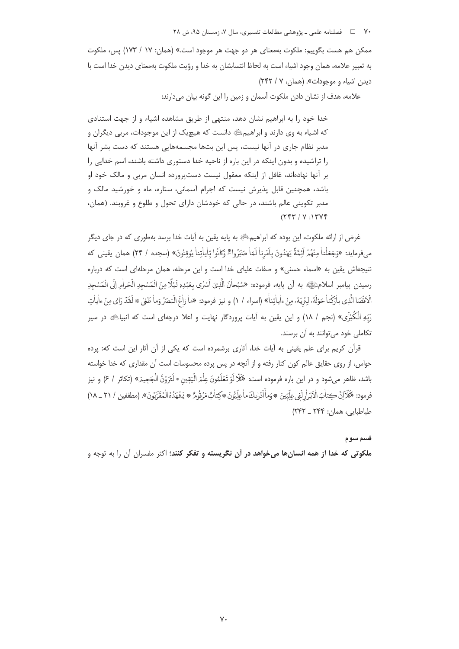ممکن هم هست بگوییم: ملکوت بهمعنای هر دو جهت هر موجود است.» (همان: ۱۷ / ۱۷۳) پس، ملکوت به تعبير علامه، همان وجود اشياء است به لحاظ انتسابشان به خدا و رؤيت ملكوت بهمعناي ديدن خدا است با ديدن اشياء و موجودات». (همان، ٧ / ٢۴٢)

علامه، هدف از نشان دادن ملکوت آسمان و زمین را این گونه بیان میدارند:

خدا خود را به ابراهیم نشان دهد، منتهی از طریق مشاهده اشیاء و از جهت استنادی که اشیاء به وی دارند و ابراهیمﷺ دانست که هیچیک از این موجودات، مربی دیگران و مدبر نظام جاری در آنها نیست، پس این بتها مجسمههایی هستند که دست بشر آنها را تراشیده و بدون اینکه در این باره از ناحیه خدا دستوری داشته باشند، اسم خدایی را بر آنها نهادهاند، غافل از اینکه معقول نیست دستپرورده انسان مربی و مالک خود او باشد، همچنین قابل پذیرش نیست که اجرام آسمانی، ستاره، ماه و خورشید مالک و مدبر تکوینی عالم باشند، در حالی که خودشان دارای تحول و طلوع و غروبند. (همان،  $(757/V.17V)$ 

غرض از ارائه ملکوت، این بوده که ابراهیمﷺ به پایه یقین به آیات خدا برسد بهطوری که در جای دیگر مىفرمايد: «وَجَعَلْناْ مِنْهُمْ اَئِمَّةً يَهْدُونَ بِاَمْرِناْ لَمَا صَبَرُواءٌ وَكانُوا بِاٰياتِنا يُوقِئُونَ» (سجده / ٢۴) همان يقيني كه نتیجهاش یقین به «اسماء حسنی» و صفات علیای خدا است و این مرحله، همان مرحلهای است که درباره رسيدن پيامبر اسلامﷺ به أن پايه، فرموده: «سُبْحاٰنَ الَّذِيَ اَسْرٰى بِعَبْدِهِ لَيْلًا مِنَ الْمَسْجِدِ الْحَراٰمِ إِلَى الْمَسْجِدِ الْاَفْصَا الَّذِي بِأَرَكْنا حَوْلَهُ. لِئُرِيَهُ. مِنْ ءاٰياتِناً» (اسراء / ١) و نيز فرمود: «ما زاغَ الْبَصَرُوما طَغي \* لَقدْ رَابي مِنْ ءاٰياتِ <sub>(</sub>َبِّهِ الْكُبُزِّي» (نجم / ١٨) و اين يقين به آيات پروردگار نهايت و اعلا درجهاي است كه انبياﷺ در سير تکاملی خود می توانند به آن برسند.

قرآن کریم برای علم یقینی به آیات خدا، آثاری برشمرده است که یکی از آن آثار این است که: پرده حواس، از روی حقایق عالم کون کنار رفته و از آنچه در پس پرده محسوسات است آن مقداری که خدا خواسته باشد، ظاهر مي شود و در اين باره فرموده است: «كَلَّا لَوْ تَعْلَمُونَ عِلْمَ الْيَقِينِ \* لَتَرَوُنَّ الْجَجيمَ» (تكاثر / ۶) و نيز فِرِمود: «كَلْآنَّ ڪتابَ الْإِنْهِ أُرلَفِي عِلَّتِينَ \* وَمِأْإِذْرٰبِكَ ماعِلْتُونَ \* كتابٌ مَرْقُومٌ \* بَشْهَدُهُ الْمُقَبَّوْنَ». (مطففين / ٢١ \_ ١٨) طباطبایی، همان: ۲۴۴ ـ ۲۴۲)

قسم سوم

م**لکوتی که خدا از همه انسانها میخواهد در آن نگریسته و تفکر کنند**؛ اکثر مفسران آن را به توجه و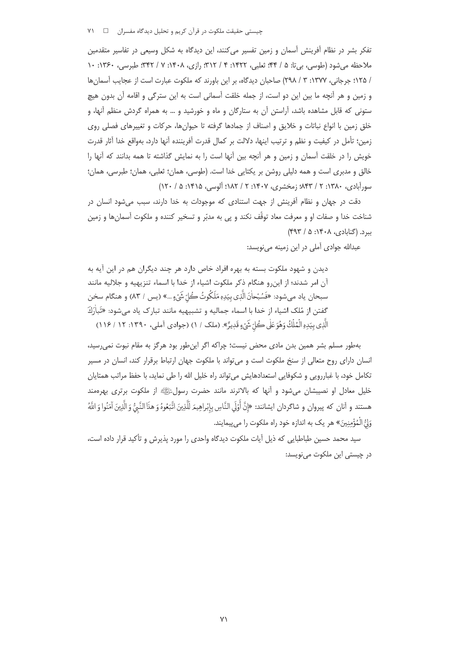تفکر بشر در نظام آفرینش آسمان و زمین تفسیر میکنند، این دیدگاه به شکل وسیعی در تفاسیر متقدمین ملاحظه می شود (طوسی، بی تا: ۵ / ۴۴: ثعلبی، ۱۴۲۲: ۴ / ۳۱۲: رازی، ۱۴۰۸: ۷ / ۳۴۲: طبرسی، ۱۳۶۰: ۱۰ / ۱۲۵؛ جرجانی، ۱۳۷۷: ۳ / ۲۹۸) صاحبان دیدگاه، بر این باورند که ملکوت عبارت است از عجایب آسمانها و زمین و هر أنچه ما بین این دو است، از جمله خلقت أسمانی است به این سترگی و اقامه أن بدون هیچ ستونی که قابل مشاهده باشد، آراستن آن به ستارگان و ماه و خورشید و … به همراه گردش منظم آنها، و خلق زمین با انواع نباتات و خلایق و اصناف از جمادها گرفته تا حیوانها، حرکات و تغییرهای فصلی روی زمین؛ تأمل در کیفیت و نظم و ترتیب اینها، دلالت بر کمال قدرت آفریننده آنها دارد، بهواقع خدا آثار قدرت خویش را در خلقت آسمان و زمین و هر آنچه بین آنها است را به نمایش گذاشته تا همه بدانند که آنها را خالق و مدبری است و همه دلیلی روشن بر یکتایی خدا است. (طوسی، همان؛ ثعلبی، همان؛ طبرسی، همان؛ سورآبادی، ۱۳۸۰: ۲ / ۸۴۳؛ زمخشری، ۱۴۰۷: ۲ / ۱۸۲؛ آلوسی، ۱۴۱۵: ۵ / ۱۲۰)

دقت در جهان و نظام آفرینش از جهت استنادی که موجودات به خدا دارند، سبب میشود انسان در شناخت خدا و صفات او و معرفت معاد توقّف نکند و پی به مدبّر و تسخیر کننده و ملکوت آسمانها و زمین بېرد. (گنابادي، ۱۴۰۸: ۵ / ۴۹۳)

عبدالله جوادي آملي در اين زمينه مي نويسد:

ديدن و شهود ملكوت بسته به بهره افراد خاص دارد هر چند ديگران هم در اين آيه به آن امر شدند؛ از این و هنگام ذکر ملکوت اشیاء از خدا با اسماء تنزیهیه و جلالیه مانند سبحان ياد ميشود: «فَسُبْحاٰنَ الَّذِي بِيَدِهِ مَلَكُوتُ كُلّ شَيْءٍ …» (يس / ٨٣) و هنگام سخن گفتن از مُلک اشیاء از خدا با اسماء جمالیه و تشبیهیه مانند تبارک یاد میشود: «تَباٰرَكَ الَّذِي بِيَدِهِ الْمُلْكُ وَهُوَ عَلَى كُلِّ شَيْءٍ قَدِيرٌ». (ملك / ١) (جوادي آملي، ١٣٩٠: ١١٢ / ١١۶)

بهطور مسلم بشر همین بدن مادی محض نیست؛ چراکه اگر این طور بود هرگز به مقام نبوت نمی رسید، انسان دارای روح متعالی از سنخ ملکوت است و می تواند با ملکوت جهان ارتباط برقرار کند، انسان در مسیر تکامل خود، با غباررویی و شکوفایی استعدادهایش می تواند راه خلیل الله را طی نماید، با حفظ مراتب همتایان خلیل معادل او نصیبشان میشود و آنها که بالاترند مانند حضرت رسولﷺ از ملکوت برتری بهرهمند هستند و أنان كه پيروان و شاگردان ايشانند: «إِنَّ أَوْلَي النَّاسِ بِإِبْراهِيمَ للَّذِينَ اتَّبَعُوهُ وَهذَا النَّبِيُّ وَالَّذِينَ اتَّنُوا وَاللَّهُ وَلُّ الْمُؤْمِنِينَ» هر يک به اندازه خود راه ملکوت را مي پيمايند.

سید محمد حسین طباطبایی که ذیل آیات ملکوت دیدگاه واحدی را مورد پذیرش و تأکید قرار داده است، در چيستي اين ملکوت مي نويسد:

 $\vee$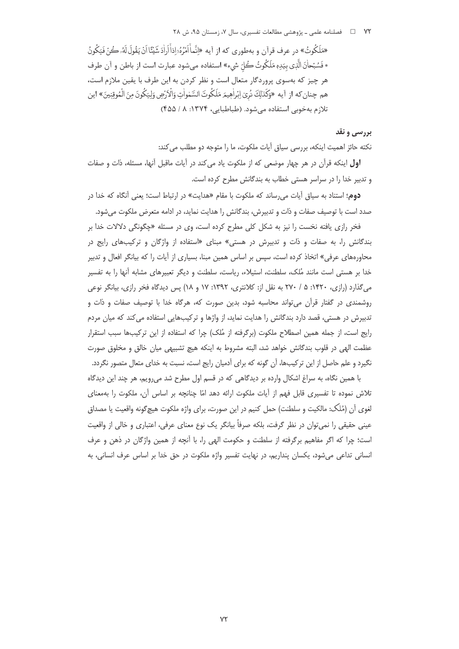«مَلَكُوتُ» در عرف قرآن و بهطوري كه از آيه «إِنَّماْأَمَرُهُۥٓاِذاْأَاراٰدَشَيْئَاانَ يَقُولَالَهُۥصُنْ فَيَكُونُ \* فَسُبْحاٰنَ الَّذِي بِيَدِهِ مَلَكُوتُ كُلِّ شيءٍ» استفاده مي شود عبارت است از باطن و آن طرف هر چیز که بهسوی پروردگار متعال است و نظر کردن به این طرف با یقین ملازم است، هم چنان كه از آيه «وَكَذلِكَ نُرِيّ اِبْراٰهِيمَ مَلَكُوتَ السَّمٰواٰتِ وَالْأَرْضِ وَلِيَكُونَ مِنَ الْمُوقِنِينَ» اين تلازم بهخوبي استفاده مي شود. (طباطبايي، ١٣٧۴: ٨ / ۴۵۵)

### بررسے ونقد

نكته حائز اهميت اينكه، بررسي سياق آيات ملكوت، ما را متوجه دو مطلب مي كند:

**اول** اینکه قرآن در هر چهار موضعی که از ملکوت یاد میکند در آیات ماقبل آنها، مسئله، ذات و صفات و تدبیر خدا را در سراسر هستی خطاب به بندگانش مطرح کرده است.

دوم؛ استناد به سیاق آیات می رساند که ملکوت با مقام «هدایت» در ارتباط است؛ یعنی آنگاه که خدا در صدد است با توصیف صفات و ذات و تدبیرش، بندگانش را هدایت نماید، در ادامه متعرض ملکوت میشود.

فخر رازی یافته نخست را نیز به شکل کلی مطرح کرده است، وی در مسئله «چگونگی دلالات خدا بر بندگانش را، به صفات و ذات و تدبیرش در هستی» مبنای «استفاده از واژگان و ترکیبهای رایج در محاورههای عرفی» اتخاذ کرده است، سپس بر اساس همین مبنا، بسیاری از آیات را که بیانگر افعال و تدبیر خدا بر هستی است مانند مُلک، سلطنت، استیلاء، ریاست، سلطنت و دیگر تعبیرهای مشابه آنها را به تفسیر میگذارد (رازی، ۱۴۲۰: ۵ / ۲۷۰ به نقل از: کلانتری، ۱۳۹۲: ۱۷ و ۱۸) پس دیدگاه فخر رازی، بیانگر نوعی روشمندی در گفتار قرآن می تواند محاسبه شود، بدین صورت که، هرگاه خدا با توصیف صفات و ذات و تدبیرش در هستی، قصد دارد بندگانش را هدایت نماید، از واژها و ترکیبهایی استفاده می کند که میان مردم رایج است، از جمله همین اصطلاح ملکوت (برگرفته از مُلک) چرا که استفاده از این ترکیبها سبب استقرار عظمت الهي در قلوب بندگانش خواهد شد، البته مشروط به اينكه هيچ تشبيهي ميان خالق و مخلوق صورت نگیرد و علم حاصل از این تر کیبها، آن گونه که برای آدمیان رایج است، نسبت به خدای متعال متصور نگردد.

با همین نگاه، به سراغ اشکال وارده بر دیدگاهی که در قسم اول مطرح شد میرویم، هر چند این دیدگاه تلاش نموده تا تفسیری قابل فهم از آیات ملکوت ارائه دهد امّا چنانچه بر اساس آن، ملکوت را بهمعنای لغوى أن (مُلك: مالكيت و سلطنت) حمل كنيم در اين صورت، براى واژه ملكوت هيچگونه واقعيت يا مصداق عینی حقیقی را نمیتوان در نظر گرفت، بلکه صرفاً بیانگر یک نوع معنای عرفی، اعتباری و خالی از واقعیت است؛ چرا که اگر مفاهیم برگرفته از سلطنت و حکومت الهی را، با آنچه از همین واژگان در ذهن و عرف انسانی تداعی می شود، یکسان پنداریم، در نهایت تفسیر واژه ملکوت در حق خدا بر اساس عرف انسانی، به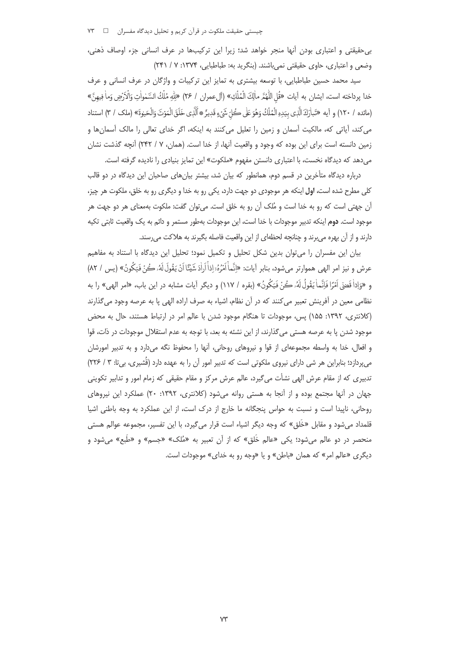چیستی حقیقت ملکوت در قرآن کریم و تحلیل دیدگاه مفسران د U۳ M۳

بی حقیقتی و اعتباری بودن آنها منجر خواهد شد؛ زیرا این ترکیبها در عرف انسانی جزء اوصاف ذهنی، وضعی و اعتباری، حاوی حقیقتی نمیباشند. (بنگرید به: طباطبایی، ۱۳۷۴: ۷ / ۲۴۱)

سید محمد حسین طباطبایی، با توسعه بیشتری به تمایز این ترکیبات و واژگان در عرف انسانی و عرف خدا پرداخته است، ايشان به آيات «قُل اللُّهُمَّ ماْلِكَ الْمُلْكِ» (آلءمران / ٢۶) «لِلْهِ مُلْكُ السَّمٰواتِ وَالْأَرْضِ وَماْ فِيهنَّ» (مائده / ١٢٠) و آيه «تَباْرَكَ الَّذِي بِيَدِهِ الْمُلْكُ وَهُوَ عَلَى كُلّ شَيْءٍ قَدِيرٌ ۞ ٱلَّذِي خَلَقَ الْمَوْتَ وَالْحَيوةَ» (ملك / ٣) استناد میکند، آیاتی که، مالکیت آسمان و زمین را تعلیل میکنند به اینکه، اگر خدای تعالی را مالک آسمانها و زمین دانسته است برای این بوده که وجود و واقعیت آنها، از خدا است. (همان، ۷ / ۲۴۲) آنچه گذشت نشان میدهد که دیدگاه نخست، با اعتباری دانستن مفهوم «ملکوت» این تمایز بنیادی را نادیده گرفته است.

درباره دیدگاه متأخرین در قسم دوم، همانطور که بیان شد، بیشتر بیانهای صاحبان این دیدگاه در دو قالب کل<sub>ی</sub> مطرح شده است، ا**ول** اینکه هر موجودی دو جهت دارد، یکی رو به خدا و دیگری رو به خلق، ملکوت هر چیز، آن جهتی است که رو به خدا است و مُلک آن رو به خلق است. می توان گفت: ملکوت بهمعنای هر دو جهت هر موجود است. **دوم** اینکه تدبیر موجودات با خدا است، این موجودات بهطور مستمر و دائم به یک واقعیت ثابتی تکیه دارند و از آن بهره می برند و چنانچه لحظهای از این واقعیت فاصله بگیرند به هلاکت می رسند.

بیان این مفسران را می توان بدین شکل تحلیل و تکمیل نمود؛ تحلیل این دیدگاه با استناد به مفاهیم عرش و نيز امر الهي هموارتر ميشود، بنابر آيات: «لِنَّماْ اَمْرُهُۥٓاِذاْ اَراٰدَ شَيْئًا اَنْ يَقُولَ لَهُۥ كُنْ فَيَكُونُ» (يس / ٨٢) و «وَإِداْ قَضِيٍّ اَمْرًا فَإِنَّماٰ يَقُولُ لَهُۥ كُنْ فَيَكُونُ» (بقره / ١١٧) و ديگر آيات مشابه در اين باب، «امر الهي» را به .<br>نظامی معین در آفرینش تعبیر میکنند که در آن نظام، اشیاء به صرف اراده الهی پا به عرصه وجود میگذارند (کلانتری، ۱۳۹۲: ۱۵۵) پس، موجودات تا هنگام موجود شدن با عالم امر در ارتباط هستند، حال به محض موجود شدن پا به عرصه هستی میگذارند، از این نشئه به بعد، با توجه به عدم استقلال موجودات در ذات، قوا و افعال، خدا به واسطه مجموعهای از قوا و نیروهای روحانی، آنها را محفوظ نگه میدارد و به تدبیر امورشان می پردازد؛ بنابراین هر شی دارای نیروی ملکوتی است که تدبیر امور آن را به عهده دارد (قُشیری، بیتا: ۳ / ۲۲۶) تدبیری که از مقام عرش الهی نشأت می¢یرد، عالم عرش مرکز و مقام حقیقی که زمام امور و تدابیر تکوینی جهان در آنها مجتمع بوده و از آنجا به هستی روانه میشود (کلانتری، ۱۳۹۲: ۲۰) عملکرد این نیروهای روحانی، ناییدا است و نسبت به حواس پنجگانه ما خارج از درک است، از این عملکرد به وجه باطنی اشیا قلمداد میشود و مقابل «خُلق» که وجه دیگر اشیاء است قرار می¢یرد، با این تفسیر، مجموعه عوالم هستی منحصر در دو عالم میشود؛ یکی «عالم خَلق» که از آن تعبیر به «مُلک» «جسم» و «طَبع» میشود و دیگری «عالم امر» که همان «باطن» و یا «وجه رو به خدای» موجودات است.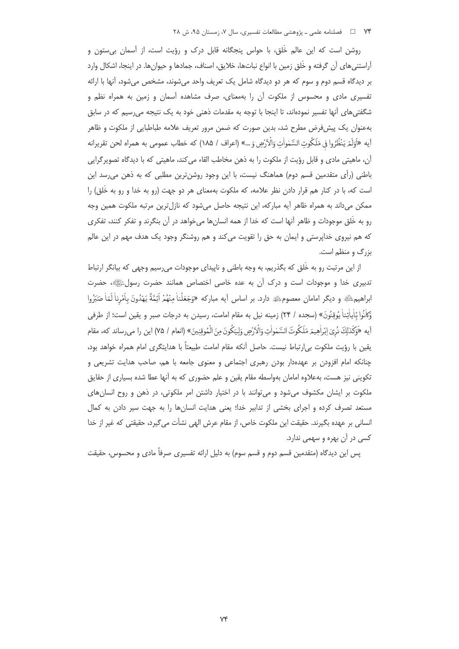روشن است که این عالم خَلق، با حواس پنجگانه قابل درک و رؤیت است، از آسمان بی ستون و آراستنی های آن گرفته و خَلق زمین با انواع نباتها، خلایق، اصناف، جمادها و حیوان ها. در اینجا، اشکال وارد بر دیدگاه قسم دوم و سوم که هر دو دیدگاه شامل یک تعریف واحد میشوند، مشخص میشود، آنها با ارائه تفسیری مادی و محسوس از ملکوت آن را بهمعنای، صرف مشاهده آسمان و زمین به همراه نظم و شگفتیهای أنها تفسیر نمودهاند، تا اینجا با توجه به مقدمات ذهنی خود به یک نتیجه میرسیم که در سابق بهعنوان يک پيشفرض مطرح شد، بدين صورت که ضمن مرور تعريف علامه طباطبايي از ملکوت و ظاهر آيه «اَوَلَمْ يَنْظُرُوا فِي مَلَكُوتِ السَّمْواٰتِ وَالْاَرْضِ وَ …» (اعراف / ١٨۵) كه خطاب عمومي به همراه لحن تقريرانه آن، ماهیتی مادی و قابل رؤیت از ملکوت را به ذهن مخاطب القاء می کند، ماهیتی که با دیدگاه تصویر گرایی باطنی (رأی متقدمین قسم دوم) هماهنگ نیست، با این وجود روشنترین مطلبی که به ذهن می رسد این است که، با در کنار هم قرار دادن نظر علامه، که ملکوت بهمعنای هر دو جهت (رو به خدا و رو به خَلق) را ممکن میداند به همراه ظاهر آیه مبارکه، این نتیجه حاصل میشود که نازلترین مرتبه ملکوت همین وجه رو به خَلق موجودات و ظاهر آنها است که خدا از همه انسانها میخواهد در آن بنگرند و تفکر کنند، تفکری که هم نیروی خداپرستی و ایمان به حق را تقویت میکند و هم روشنگر وجود یک هدف مهم در این عالم بزرگ و منظم است.

از این مرتبت رو به خَلق که بگذریم، به وجه باطنی و ناپیدای موجودات می رسیم وجهی که بیانگر ارتباط تدبیری خدا و موجودات است و درک آن به عده خاصی اختصاص همانند حضرت رسولﷺ، حضرت ابراهيمﷺ و ديگر امامان معصومﷺ دارد. بر اساس أيه مباركه «وَجَعَلْناْ مِنْهُمْ اَئِمَّةً يَهْدُونَ بِاَمْرِناْ لَمَا صَبَرُوا وَكَانُوا بَاٰياٰتِناٰ يُوقِنُونَ» (سجدہ / ٢۴) زمینه نیل به مقام امامت، رسیدن به درجات صبر و یقین است؛ از طرفی آيه «َوَكَذلِكَ نُرِيَ اِبْراٰهِيمَ مَلَكُوتَ السَّمْواٰتِ وَالْاَرْضِ وَلِيَكُونَ مِنَ الْمُوقِنِينَ» (انعام / ٧۵) اين را مىررساند كه، مقام يقين با رؤيت ملكوت بي|رتباط نيست. حاصل آنكه مقام امامت طبيعتاً با هدايتگرى امام همراه خواهد بود، چنانکه امام افزودن بر عهدهدار بودن رهبری اجتماعی و معنوی جامعه با هم، صاحب هدایت تشریعی و تکوینی نیز هست، بهعلاوه امامان بهواسطه مقام یقین و علم حضوری که به آنها عطا شده بسیاری از حقایق ملکوت بر ایشان مکشوف می شود و می توانند با در اختیار داشتن امر ملکوتی، در ذهن و روح انسان های مستعد تصرف کرده و اجرای بخشی از تدابیر خدا؛ یعنی هدایت انسانها را به جهت سیر دادن به کمال انسانی بر عهده بگیرند. حقیقت این ملکوت خاص، از مقام عرش الهی نشأت می گیرد، حقیقتی که غیر از خدا کسی در آن بهره و سهمی ندارد.

پس این دیدگاه (متقدمین قسم دوم و قسم سوم) به دلیل ارائه تفسیری صرفاً مادی و محسوس، حقیقت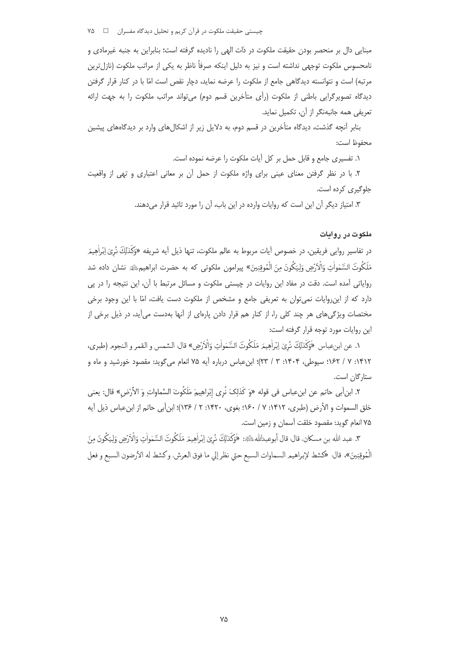چیستی حقیقت ملکوت در قرآن کریم و تحلیل دیدگاه مفسران د W۵ V۵

مبنایی دال بر منحصر بودن حقیقت ملکوت در ذات الهی را نادیده گرفته است؛ بنابراین به جنبه غیرمادی و نامحسوس ملکوت توجهی نداشته است و نیز به دلیل اینکه صرفاً ناظر به یکی از مراتب ملکوت (نازل ترین مرتبه) است و نتوانسته دیدگاهی جامع از ملکوت را عرضه نماید، دچار نقص است امّا با در کنار قرار گرفتن دیدگاه تصویرگرایی باطنی از ملکوت (رأی متأخرین قسم دوم) میتواند مراتب ملکوت را به جهت ارائه تعریفی همه جانبهنگر از آن، تکمیل نماید.

بنابر آنچه گذشت، دیدگاه متأخرین در قسم دوم، به دلایل زیر از اشکالهای وارد بر دیدگاههای پیشین محفوظ است:

١. تفسیری جامع و قابل حمل بر کل آیات ملکوت را عرضه نموده است.

۲. با در نظر گرفتن معنای عینی برای واژه ملکوت از حمل آن بر معانی اعتباری و تهی از واقعیت جلوگیری کرده است.

۳. امتیاز دیگر آن این است که روایات وارده در این باب، آن را مورد تائید قرار میدهند.

## ملکوت در روایات

در تفاسير روايي فريقين، در خصوص آيات مربوط به عالم ملكوت، تنها ذيل آيه شريفه «وَكَذلِكَ ذُرِيَ إِبْراٰهِيمَرَ مَلَكُوتَ السَّمْواٰتِ وَالْأَرْضِ وَلِيَكُونَ مِنَ الْمُوقِنِينَ» ييرامون ملكوتي كه به حضرت ابراهيمﷺ نشان داده شد روایاتی آمده است. دقت در مفاد این روایات در چیستی ملکوت و مسائل مرتبط با آن، این نتیجه را در پی دارد که از این روایات نمی توان به تعریفی جامع و مشخص از ملکوت دست یافت، امّا با این وجود برخی مختصات ویژگیهای هر چند کلی را، از کنار هم قرار دادن پارهای از آنها بهدست میآید، در ذیل برخی از این روایات مورد توجه قرار گرفته است:

١. عن ابنءباس «وَكَذلِكَ نُرِيّ إِبْراٰهِيمَ مَلَكُوتَ السَّمْواٰتِ وَالْأَرْضِ» قال: الشمس و القمر و النجوم (طبري، ۱۴۱۲: ۷ / ۱۶۲؛ سپوطی، ۱۴۰۴: ۳ / ۲۳)؛ ابن عباس درباره آیه ۷۵ انعام می گوید: مقصود خورشید و ماه و ستار گان است.

٢. ابنأبي حاتم عن ابنءباس في قوله «وَ كَذلِكَ نُرِي إبْراهِيمَ مَلَكُوتَ السَّماواتِ وَ الأَرْضِ» قال: يعني خلق السموات و الأرض (طبري، ١۴١٢: ٧ / ١٤٠٠؛ بغوي، ١۴٢٠: ٢ / ١٣۶)؛ ابن أبي حاتم از ابنءباس ذيل آيه ۷۵ انعام گوید: مقصود خلقت آسمان و زمین است.

٣. عبد الله بن مسكان، قال: قال أبوعبدالله، عليه: «وَكَذلِكَ شُرِيَ اِبْراٰهِيمَ مَلَكُوتَ السَّمْواٰتِ وَالْأَرْضِ وَلِيَكُونَ مِنَ الْمُوقِنِينَ»، قال: «كشط لإبراهيم السماوات السبع حتى نظر إلى ما فوق العرش، وكشط له الأرضون السبع و فعل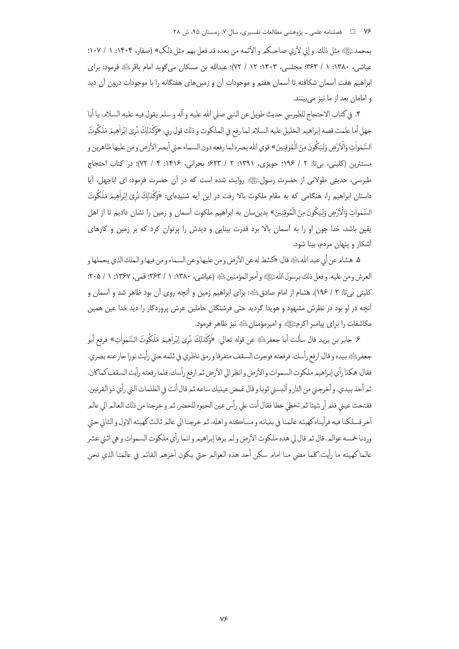بمحمدﷺ مثل ذلك، و إني لأرى صاحبكم و الأئمه من بعده قد فعل بهم مثل ذلك» (صفار، ١٤٠۴: ١ / ١٠٧؛ عیاشی، ۱۳۸۰: ۱ / ۳۶۳؛ مجلسی، ۱۴۰۳: ۱۲ / ۷۲)؛ عبدالله بن مسکان می گوید امام باقر اُ﴾ فرمود: برای ابراهیم هفت آسمان شکافته تا آسمان هفتم و موجودات آن و زمینهای هفتگانه را با موجودات درون آن دید و امامان بعد از ما نیز می بینند.

۴. في كتاب الاحتجاج للطبرسي حديث طويل عن النبي صلى الله عليه و آله و سلم يقول فيه عليه السلام. يا أبا جهل أما علمت قصه إبراهيمر الخليل عليه السلامر لما رفع في الملكوت و ذلك قول ربي: «َوَكَذَلِكَ نُرِيّ إبْراهيمَ مَلَكُوتَ السَّمٰواٰتِ وَالْأَرْضِ وَلِيَكُونَ مِنَ الْمُوقِنِينَ» قوى الله بصره لما رفعه دون السماء حتى أبصر الأرض و من عليها ظاهرين و مستترین (کلینی، بی تا: ۲ / ۱۹۶؛ حویزی، ۱۳۹۱: ۲ / ۶۲۳؛ بحرانی، ۱۴۱۶: ۴ / ۷۲)؛ در کتاب احتجاج طبرسی، حدیثی طولانی از حضرت رسولﷺ روایت شده است که در آن حضرت فرمود: ای اباجهل، آیا داستان ابراهیم را، هنگامی که به مقام ملکوت بالا رفت در این آیه شنیدهای: «َوَکَذلِكَ نُرِیّ اِبْراٰهِیمَ مَلَکُوتَ السَّمٰواٰتِ وَالۡاَرۡضِ وَلِيَكُونَ مِنَ الۡمُوقِنِينَ» بدين سان به ابراهيم ملكوت آسمان و زمين را نشان داديم تا از اهل یقین باشد، خدا چون او را به آسمان بالا برد قدرت بینایی و دیدش را پرتوان کرد که بر زمین و کارهای آشکار و پنهان مردم، بینا شود.

۵. هشامرعن أبي عبد الله ﷺ قال: «كشط له عن الأرض و من عليها و عن السماء و من فيها و الملك الذي يحملها و العرش و من عليه، و فعل ذلك برسول الله ﷺ و أمير المؤمنين ﷺ (عياشير، ١٣٨٠: ١ / ٣۶٣: قعر، ١٣٦٧: ١ / ٢٠٥؛ كليني بي تا: ٢ / ١٩۶). هشام از امام صادقﷺ: براي ابراهيم زمين و آنچه روي آن بود ظاهر شد و آسمان و .<br>آنچه در او بود در نظرش مشهود و هویدا گردید حتی فرشتگان حاملین عرش پروردگار را دید خدا عین همین مكاشفات را براي پيامبر اكرمﷺ و اميرمؤمنان ﷺ نيز ظاهر فرمود.

ع جابر بن يزيد قال سألت أبا جعفر، الله عن قوله تعالي: «وَكَذَلِكَ نُرِيَ اِبْرِلْهِيمَ مَلَكُوتَ السَّمْواتِ» فرفع أبو جعفر ِطَّةٍ بيده و قال: ارفع رأسك، فرفعته فوجرت السقف متفرقا و رمق ناظري في ثلمه حتى رأيت نورا حارعنه بصري، فقال هكذا رأي إبراهيم ملكوت السموات و الأرض و انظر الى الأرض ثمر ارفع رأسك، فلما رفعته رأيت السقف كماكان، ثعر أخذ بيدي، و أخرجني من الدار و ألبسني ثوبا و قال غمض عينيك ساعه ثعر قال أنت في الظلمات التي رأى ذو القرنين، ففتحت عيني فلمرأر شيئا ثمر تخطى خطا فقال أنت على رأس عين الحيوه للخضر، ثمر و خرجنا من ذلك العالمر الى عالمر .<br>آخر فسلكنا فيه فرأيناه كهيئه عالمنا في بنيانه و مساكنه و اهله، ثمر خرجنا الى عالمر ثالث كهيئه الاول و الثاني حتى وددنا خمسه عوالمر، قال نير قال لي هذه ملكوت الأرض و ليريبرها إبراهيمر و انما رأي ملكوت السموات و هي اثني عشر عالماكهيئه ما رأيت،كلما مضي منا امامر سكن أحد هذه العوالمر حتى يكون آخرهم القائم في عالمنا الذي نحن

 $V \xi$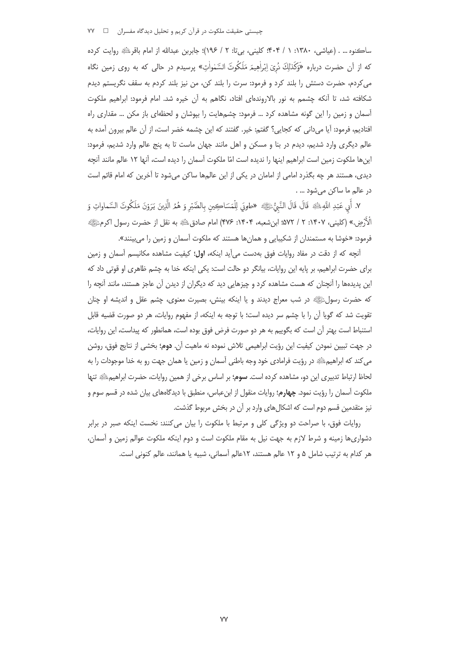ساڪنوه … . (عياشي، ١٣٨٠: ١ / ۴٠۴؛ کليني، بي تا: ٢ / ١٩۶)؛ جابربن عبدالله از امام باقر الله روايت کرده که از آن حضرت درباره «َوَکَذٰلِكَ دُرِّيَ اِبْرَاهِيمَ مَلَکُوتَ السَّمْواٰتِ» پرسیدم در حالی که به روی زمین نگاه می کردم، حضرت دستش را بلند کرد و فرمود: سرت را بلند کن، من نیز بلند کردم به سقف نگریستم دیدم شکافته شد، تا آنکه چشمم به نور بالاروندهای افتاد، نگاهم به آن خیره شد. امام فرمود: ابراهیم ملکوت آسمان و زمین را این گونه مشاهده کرد … فرمود: چشمهایت را بیوشان و لحظهای باز مکن … مقداری راه افتاديم، فرمود: آيا ميداني كه كجايي؟ گفتم: خير. گفتند كه اين چشمه خضر است، از آن عالم بيرون آمده به عالم دیگری وارد شدیم، دیدم در بنا و مسکن و اهل مانند جهان ماست تا به پنج عالم وارد شدیم، فرمود: اینها ملکوت زمین است ابراهیم اینها را ندیده است امّا ملکوت آسمان را دیده است، آنها ۱۲ عالم مانند آنچه دیدی، هستند هر چه بگذرد امامی از امامان در یکی از این عالمها ساکن میشود تا آخرین که امام قائم است در عالم ما ساكن مى شود ... .

٧. أَبِي عَبْدِ اللَّهِ لِخَلَّةِ ۚ قَالَ النَّبِيُّ ﷺ «طهوبَي لِلْمَسَاكِينِ بِالصَّبْرِ وَ هُمُ الَّذِينَ يَرَوْنَ مَلَكُوتَ السَّماواتِ وَ الْأَرْضِ.» (كليني، ١۴٠٧: ٢ / ۵۷۲؛ ابنشعبه، ١۴٠۴: ٣٧۶) امام صادق $\mathbb{B}_{\ast}$  به نقل از حضرت رسول اكرم فرمود: «خوشا به مستمندان از شکیبایی و همانها هستند که ملکوت آسمان و زمین را می بینند».

آنچه که از دقت در مفاد روایات فوق بهدست میآید اینکه، **اول**؛ کیفیت مشاهده مکانیسم آسمان و زمین برای حضرت ابراهیم، بر پایه این روایات، بیانگر دو حالت است: یکی اینکه خدا به چشم ظاهری او قوتی داد که این پدیدهها را آنچنان که هست مشاهده کرد و چیزهایی دید که دیگران از دیدن آن عاجز هستند، مانند آنچه را که حضرت رسولﷺ در شب معراج دیدند و یا اینکه بینش، بصیرت معنوی، چشم عقل و اندیشه او چنان تقويت شد كه گويا آن را با چشم سر ديده است؛ با توجه به اينكه، از مفهوم روايات، هر دو صورت قضيه قابل استنباط است بهتر آن است که بگوییم به هر دو صورت فرض فوق بوده است، همانطور که پیداست، این روایات، در جهت تبیین نمودن کیفیت این رؤیت ابراهیمی تلاش نموده نه ماهیت آن. **دوم**؛ بخشی از نتایج فوق، روشن می کند که ابراهیمﷺ در رؤیت فرامادی خود وجه باطنی آسمان و زمین یا همان جهت رو به خدا موجودات را به لحاظ ارتباط تدبیری این دو، مشاهده کرده است. **سوم**؛ بر اساس برخی از همین روایات، حضرت ابراهیمﷺ تنها ملکوت آسمان را رؤیت نمود. **چهارم**؛ روایات منقول از ابن عباس، منطبق با دیدگاههای بیان شده در قسم سوم و نیز متقدمین قسم دوم است که اشکالهای وارد بر آن در بخش مربوط گذشت.

روایات فوق، با صراحت دو ویژگی کلی و مرتبط با ملکوت را بیان می کنند: نخست اینکه صبر در برابر دشواریها زمینه و شرط لازم به جهت نیل به مقام ملکوت است و دوم اینکه ملکوت عوالم زمین و آسمان، هر كدام به ترتیب شامل ۵ و ۱۲ عالم هستند، ۱۲عالم آسمانی، شبیه یا همانند، عالم كنونی است.

**YY**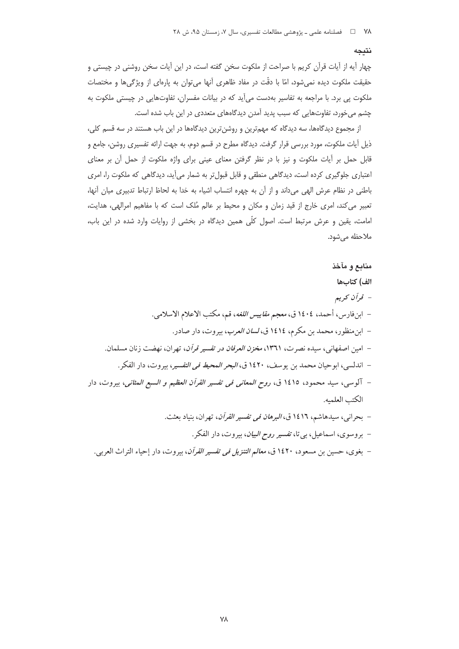#### نتىحە

چهار آیه از آیات قرآن کریم با صراحت از ملکوت سخن گفته است، در این آیات سخن روشنی در چیستی و حقیقت ملکوت دیده نمیشود، امّا با دقّت در مفاد ظاهری آنها می¤وان به پارهای از ویژگیها و مختصات ملکوت یی برد. با مراجعه به تفاسیر بهدست می آید که در بیانات مفسران، تفاوتهایی در چیستی ملکوت به چشم میخورد، تفاوتهایی که سبب پدید آمدن دیدگاههای متعددی در این باب شده است.

از مجموع دیدگاهها، سه دیدگاه که مهمترین و روشنترین دیدگاهها در این باب هستند در سه قسم کلی، ذیل آیات ملکوت، مورد بررسی قرار گرفت. دیدگاه مطرح در قسم دوم، به جهت ارائه تفسیری روشن، جامع و قابل حمل بر آیات ملکوت و نیز با در نظر گرفتن معنای عینی برای واژه ملکوت از حمل آن بر معنای اعتباری جلوگیری کرده است، دیدگاهی منطقی و قابل قبولتر به شمار میآید، دیدگاهی که ملکوت را، امری باطنی در نظام عرش الهی میداند و از آن به چهره انتساب اشیاء به خدا به لحاظ ارتباط تدبیری میان آنها، تعبیر می کند، امری خارج از قید زمان و مکان و محیط بر عالم مُلک است که با مفاهیم امرالهی، هدایت، امامت، یقین و عرش مرتبط است. اصول کلّی همین دیدگاه در بخشی از روایات وارد شده در این باب، ملاحظه می شود.

- منابع و مآخذ الف) كتابها - قرآن كريم – ابن فارس، أحمد، ١٤٠٤ ق، *معجم مقاييس اللغه*، قم، مكتب الاعلام الاسلامي. – ابن منظور، محمد بن مكرم، ١٤١٤ ق، *لسان العرب*، بيروت، دار صادر. – امین اصفهانی، سیده نصرت، **۱۳٦۱،** *مخزن العرفان در تفسیر قرآن***، ت**هران، نهضت زنان مسلمان. – اندلسي، ابوحيان محمد بن يوسف، ١٤٢٠ ق، *البحر المحيط في التفسي*ر، بيروت، دار الفكر . – آلوسی، سید محمود، ۱٤۱٥ ق، *روح المعانی فی تفسیر القرآن العظیم و السبع المثانی*، بیروت، دار الكتب العلميه. – بحراني، سيدهاشم، ١٤١٦ ق، *البرهان في تفسير القرآن*، تهران، بنياد بعثت. – بروسوي، اسماعيل، بي تا، تفسير ر*وح البيان*، بيروت، دار الفكر .
	- بغوي، حسين بن مسعود، ١٤٢٠ ق، *معالم التنزيل في تفسير القرآن*، بيروت، دار إحياء التراث العربي.